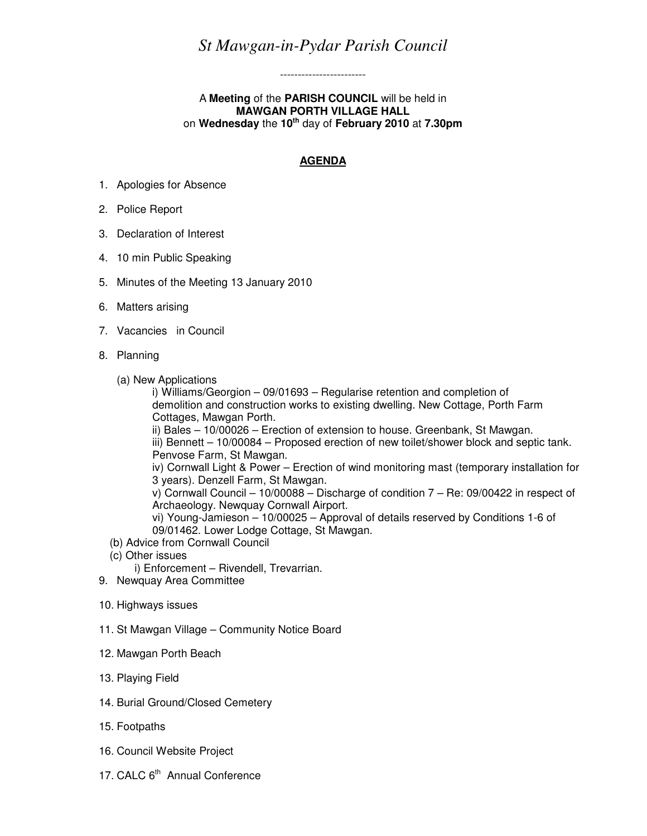## *St Mawgan-in-Pydar Parish Council*

------------------------

## A **Meeting** of the **PARISH COUNCIL** will be held in **MAWGAN PORTH VILLAGE HALL**  on **Wednesday** the **10th** day of **February 2010** at **7.30pm**

## **AGENDA**

- 1. Apologies for Absence
- 2. Police Report
- 3. Declaration of Interest
- 4. 10 min Public Speaking
- 5. Minutes of the Meeting 13 January 2010
- 6. Matters arising
- 7. Vacancies in Council
- 8. Planning
	- (a) New Applications

i) Williams/Georgion – 09/01693 – Regularise retention and completion of demolition and construction works to existing dwelling. New Cottage, Porth Farm Cottages, Mawgan Porth. ii) Bales – 10/00026 – Erection of extension to house. Greenbank, St Mawgan. iii) Bennett – 10/00084 – Proposed erection of new toilet/shower block and septic tank. Penvose Farm, St Mawgan. iv) Cornwall Light & Power – Erection of wind monitoring mast (temporary installation for 3 years). Denzell Farm, St Mawgan. v) Cornwall Council – 10/00088 – Discharge of condition 7 – Re: 09/00422 in respect of Archaeology. Newquay Cornwall Airport. vi) Young-Jamieson – 10/00025 – Approval of details reserved by Conditions 1-6 of 09/01462. Lower Lodge Cottage, St Mawgan. (b) Advice from Cornwall Council

- (c) Other issues
	- i) Enforcement Rivendell, Trevarrian.
- 9. Newquay Area Committee
- 10. Highways issues
- 11. St Mawgan Village Community Notice Board
- 12. Mawgan Porth Beach
- 13. Playing Field
- 14. Burial Ground/Closed Cemetery
- 15. Footpaths
- 16. Council Website Project
- 17. CALC 6<sup>th</sup> Annual Conference